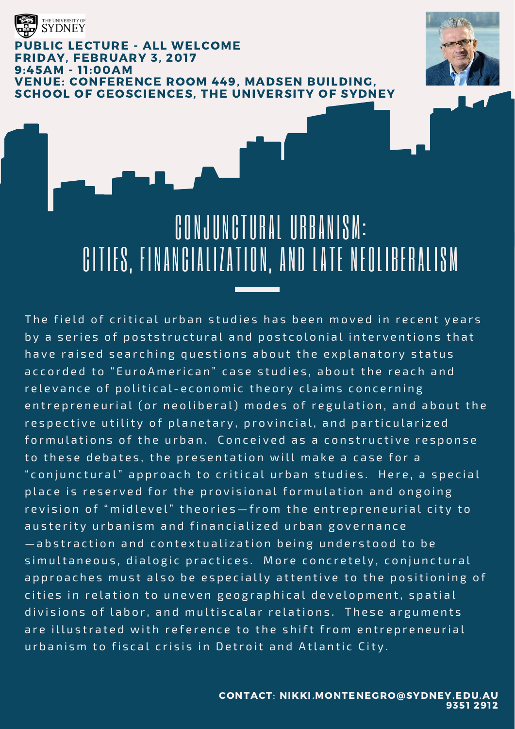

### **BLIC LECTURE - ALL WELCOME** FRIDAY, FEBRUARY 3, 2017 9:45AM - 11:00AM VENUE: CONFERENCE ROOM 449, MADSEN BUILDING, SCHOOL OF GEOSCIENCES, THE UNIVERSITY OF SYDNEY



# CONJUNCTURAL URBANISM: CITIES, FINANCIALIZATION, AND LATE NEOLIBERALISM

The field of critical urban studies has been moved in recent years by a series of poststructural and postcolonial interventions that have raised searching questions about the explanatory status accorded to "EuroAmerican" case studies, about the reach and relevance of political-economic theory claims concerning entrepreneurial (or neoliberal) modes of regulation, and about the respective utility of planetary, provincial, and particularized for mulations of the urban. Conceived as a constructive response to these debates, the presentation will make a case for a " conjunctural" approach to critical urban studies. Here, a special place is reserved for the provisional formulation and ongoing revision of "midlevel" theories-from the entrepreneurial city to austerity urbanism and financialized urban governance  $-\overline{a}$  b straction and contextualization being understood to be simultaneous, dialogic practices. More concretely, conjunctural approaches must also be especially attentive to the positioning of cities in relation to uneven geographical development, spatial divisions of labor, and multiscalar relations. These arguments are illustrated with reference to the shift from entrepreneurial urbanism to fiscal crisis in Detroit and Atlantic City.